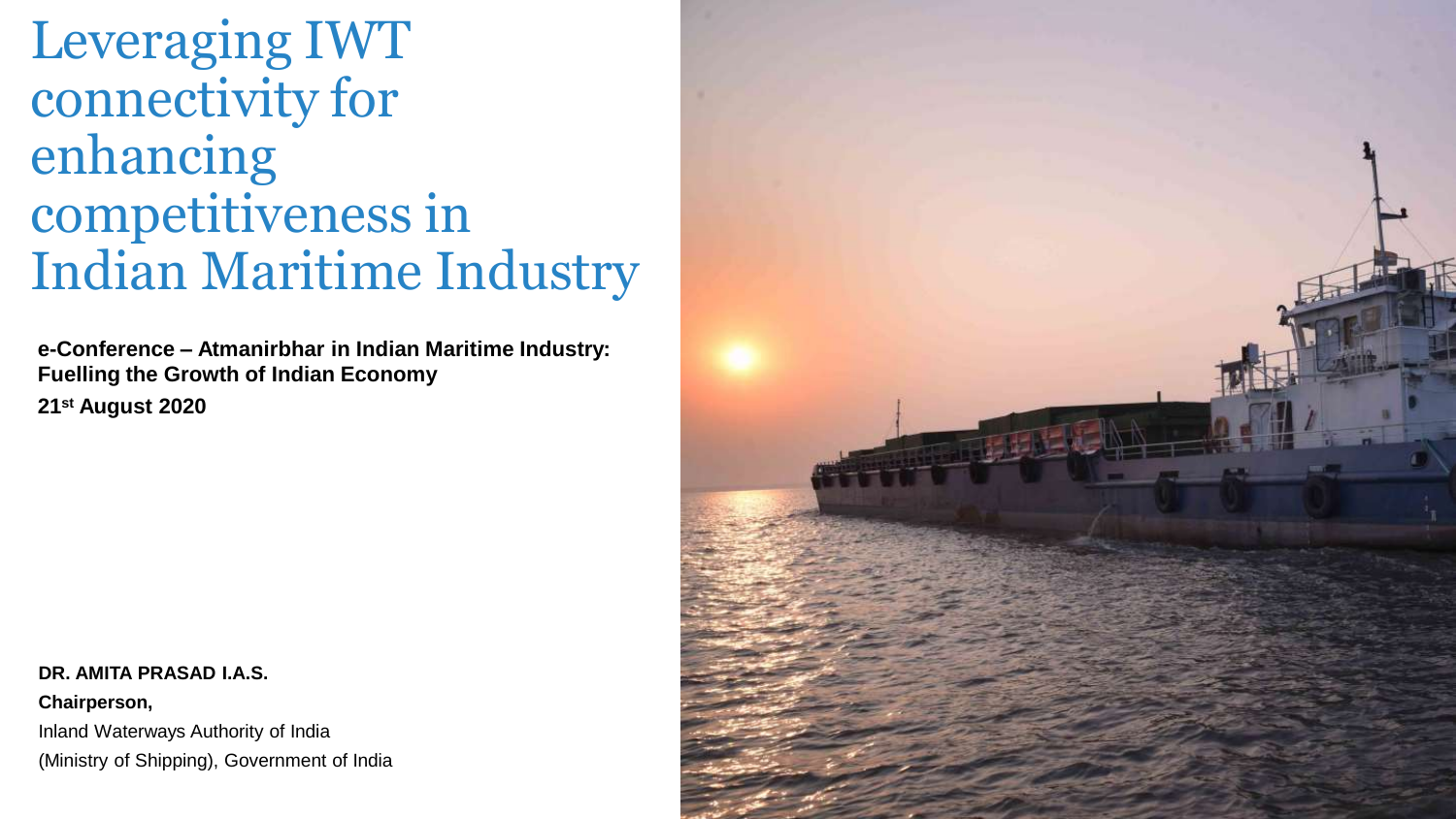# Leveraging IWT connectivity for enhancing competitiveness in Indian Maritime Industry

**e-Conference – Atmanirbhar in Indian Maritime Industry: Fuelling the Growth of Indian Economy 21st August 2020**

#### **DR. AMITA PRASAD I.A.S.**

**Chairperson,**  Inland Waterways Authority of India (Ministry of Shipping), Government of India

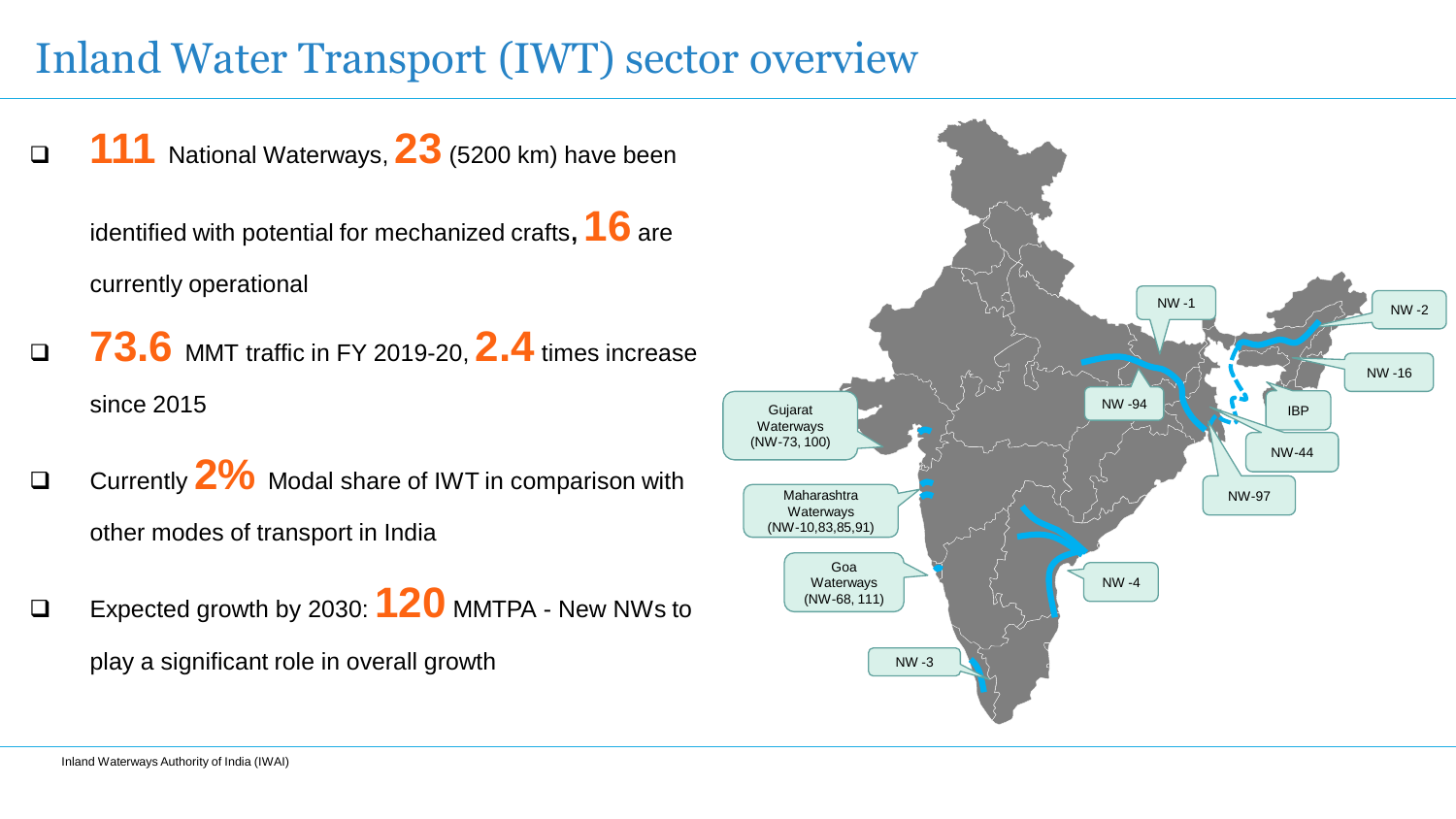## Inland Water Transport (IWT) sector overview



identified with potential for mechanized crafts**, 16** are currently operational

- **73.6** MMT traffic in FY 2019-20, **2.4** times increase since 2015
- Currently **2%** Modal share of IWT in comparison with other modes of transport in India
- Expected growth by 2030: **120** MMTPA New NWs to play a significant role in overall growth

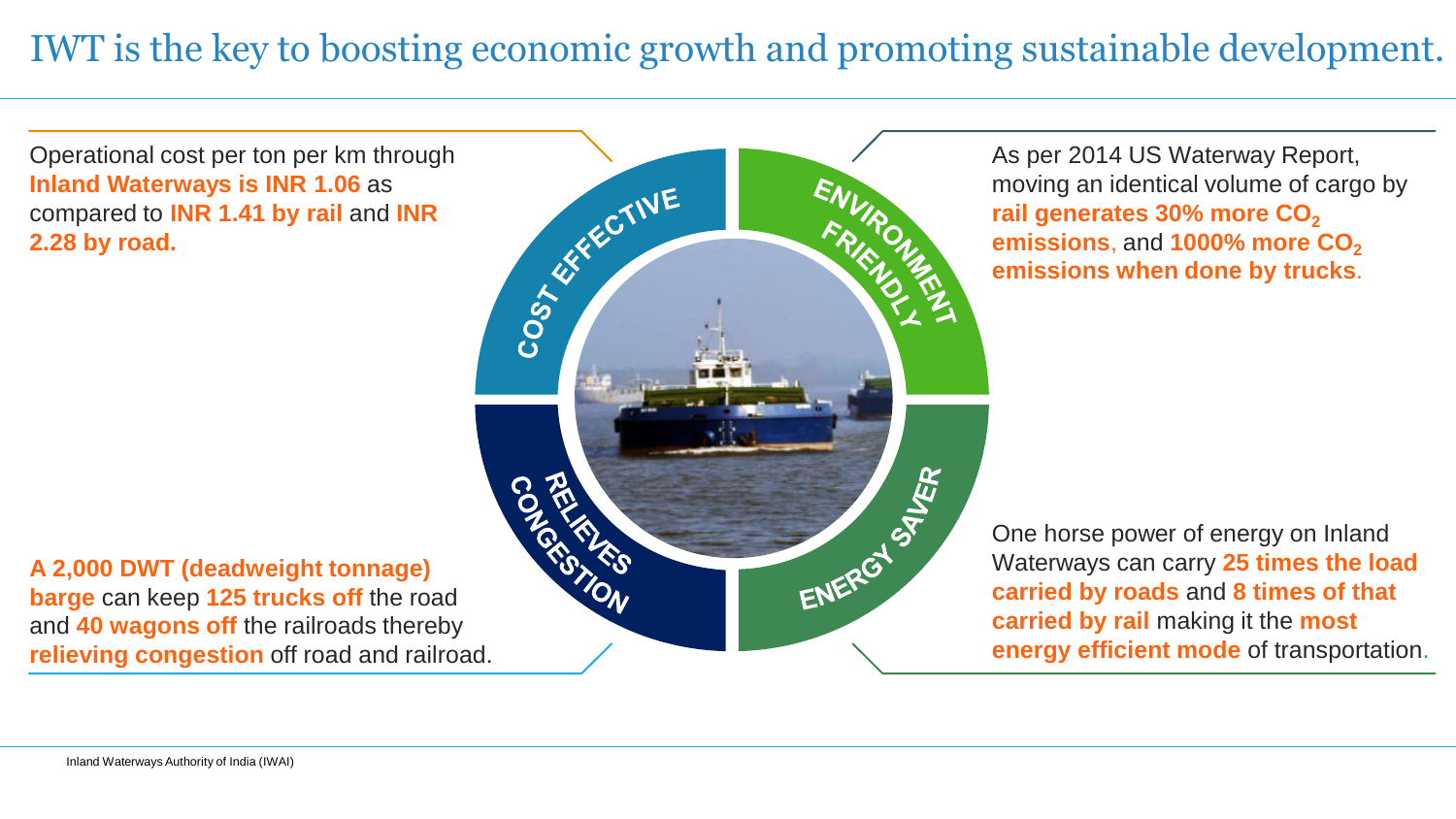### IWT is the key to boosting economic growth and promoting sustainable development.

Operational cost per ton per km through **Inland Waterways is INR 1.06** as compared to **INR 1.41 by rail** and **INR 2.28 by road.**

**A 2,000 DWT (deadweight tonnage) barge** can keep **125 trucks off** the road and **40 wagons off** the railroads thereby **relieving congestion** off road and railroad.



As per 2014 US Waterway Report, moving an identical volume of cargo by rail generates 30% more CO<sub>2</sub> emissions, and **1000% more CO**<sub>2</sub> **emissions when done by trucks**.

One horse power of energy on Inland Waterways can carry **25 times the load carried by roads** and **8 times of that carried by rail** making it the **most energy efficient mode** of transportation.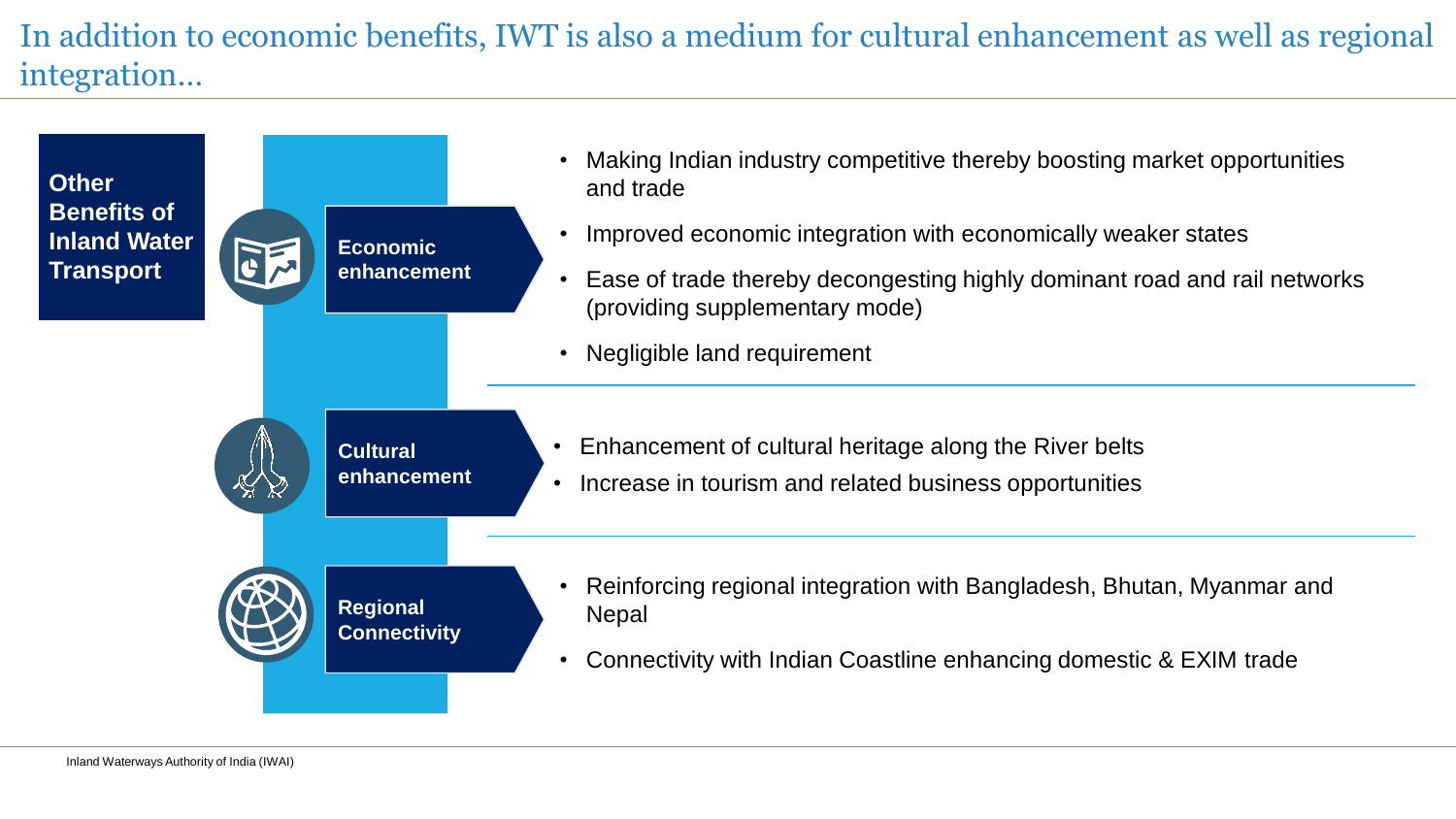In addition to economic benefits, IWT is also a medium for cultural enhancement as well as regional integration…

| <b>Other</b><br><b>Benefits of</b><br><b>Inland Water</b><br><b>Transport</b> | FE  | <b>Economic</b><br>enhancement         | Making Indian industry competitive thereby boosting market opportunities<br>and trade<br>Improved economic integration with economically weaker states       |
|-------------------------------------------------------------------------------|-----|----------------------------------------|--------------------------------------------------------------------------------------------------------------------------------------------------------------|
|                                                                               |     |                                        | Ease of trade thereby decongesting highly dominant road and rail networks<br>(providing supplementary mode)                                                  |
|                                                                               | H K | <b>Cultural</b><br>enhancement         | Negligible land requirement<br>Enhancement of cultural heritage along the River belts<br>Increase in tourism and related business opportunities<br>$\bullet$ |
|                                                                               |     | <b>Regional</b><br><b>Connectivity</b> | Reinforcing regional integration with Bangladesh, Bhutan, Myanmar and<br><b>Nepal</b><br>Connectivity with Indian Coastline enhancing domestic & EXIM trade  |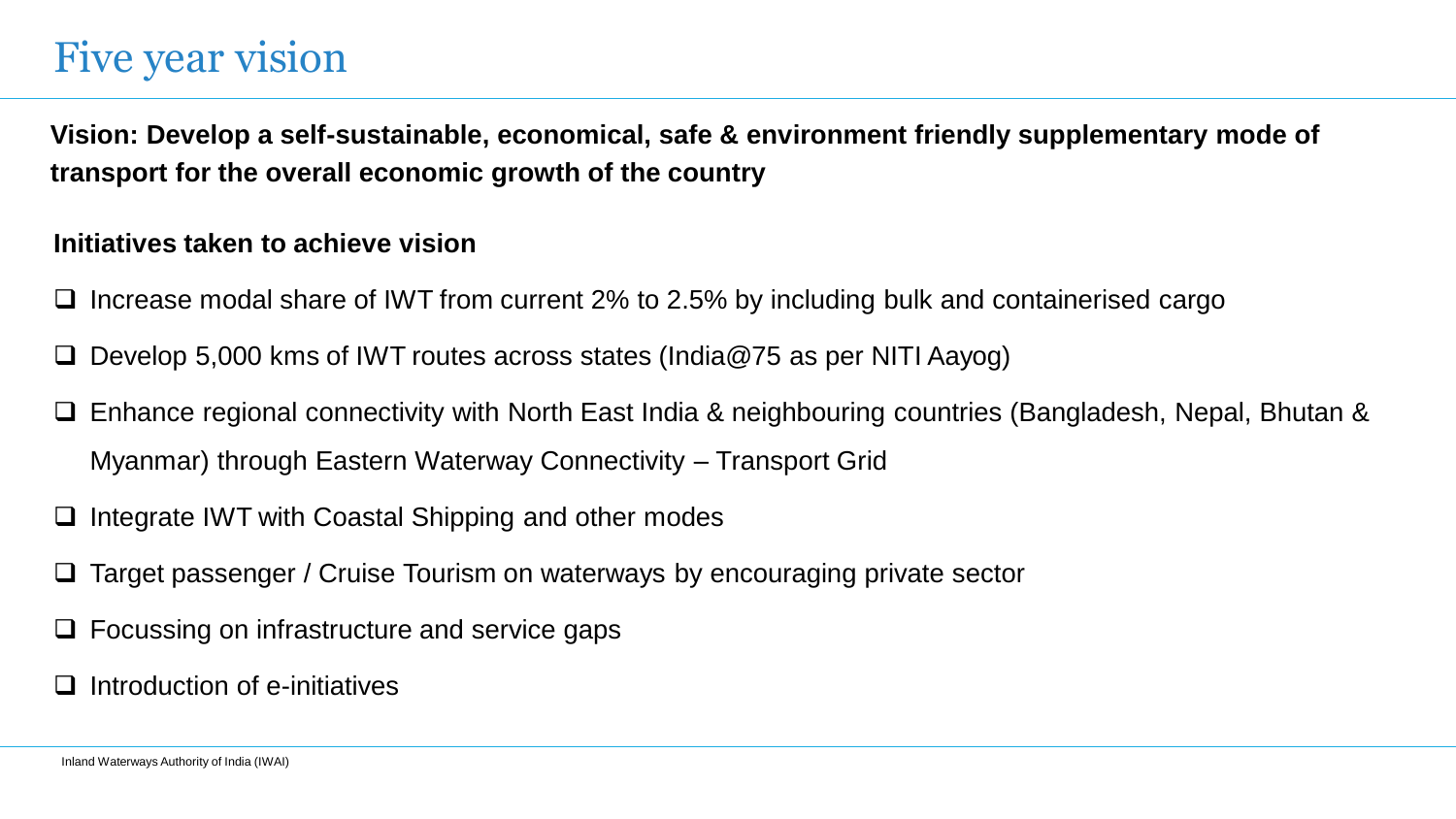## Five year vision

**Vision: Develop a self-sustainable, economical, safe & environment friendly supplementary mode of transport for the overall economic growth of the country**

#### **Initiatives taken to achieve vision**

- Increase modal share of IWT from current 2% to 2.5% by including bulk and containerised cargo
- Develop 5,000 kms of IWT routes across states (India@75 as per NITI Aayog)
- Enhance regional connectivity with North East India & neighbouring countries (Bangladesh, Nepal, Bhutan & Myanmar) through Eastern Waterway Connectivity – Transport Grid
- Integrate IWT with Coastal Shipping and other modes
- Target passenger / Cruise Tourism on waterways by encouraging private sector
- Focussing on infrastructure and service gaps
- Introduction of e-initiatives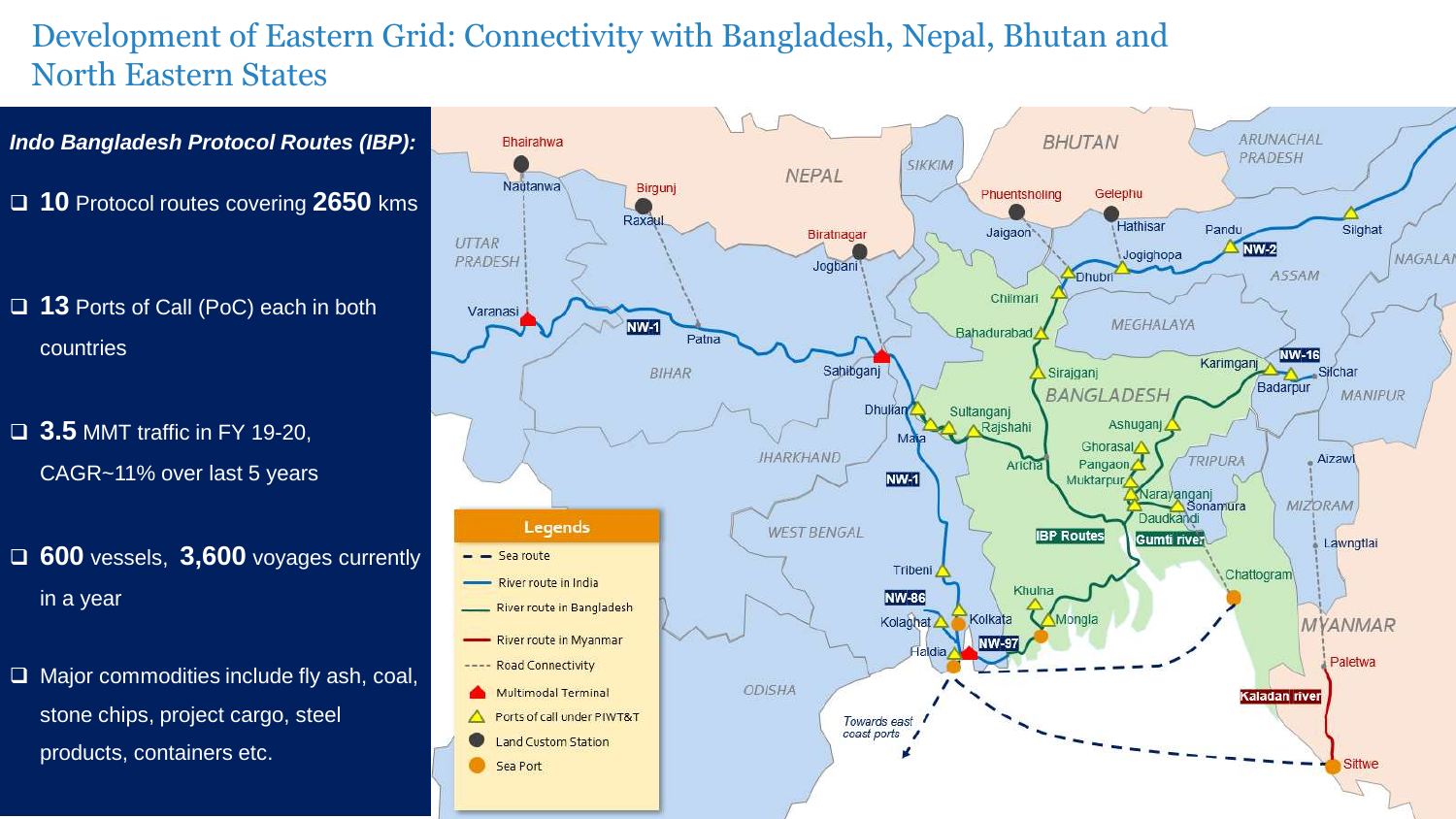#### Development of Eastern Grid: Connectivity with Bangladesh, Nepal, Bhutan and North Eastern States

*Indo Bangladesh Protocol Routes (IBP):*

**10** Protocol routes covering **2650** kms

- **13** Ports of Call (PoC) each in both countries
- **3.5** MMT traffic in FY 19-20, CAGR~11% over last 5 years
- **600** vessels, **3,600** voyages currently in a year
- $\Box$  Major commodities include fly ash, coal, stone chips, project cargo, steel products, containers etc.

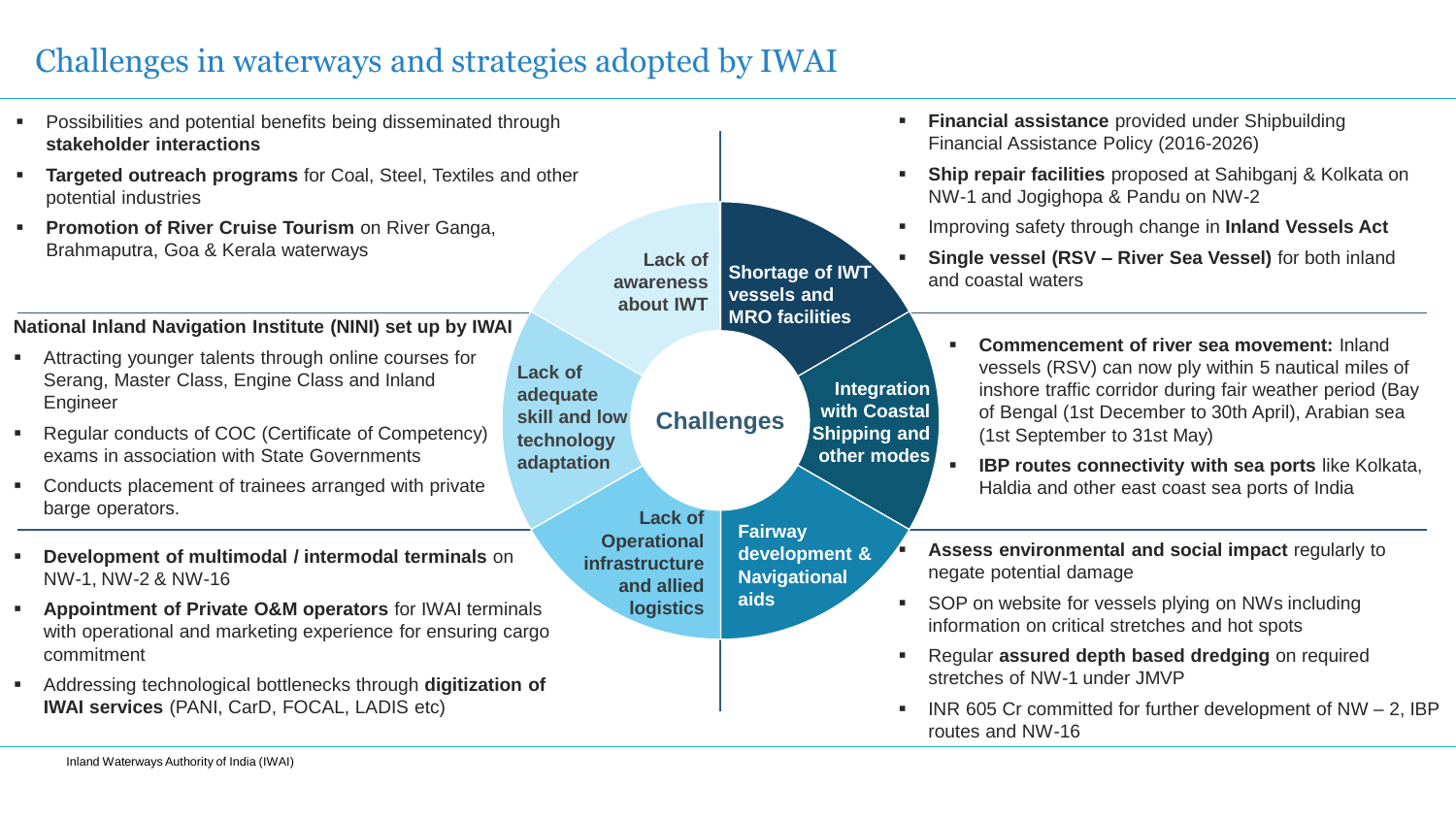#### Challenges in waterways and strategies adopted by IWAI

**Challenges Lack of awareness about IWT Shortage of IWT vessels and MRO facilities Lack of Operational infrastructure and allied logistics Lack of adequate skill and low technology adaptation Integration with Coastal Shipping and other modes Fairway development & Navigational aids** Possibilities and potential benefits being disseminated through **stakeholder interactions Targeted outreach programs** for Coal, Steel, Textiles and other potential industries **Promotion of River Cruise Tourism on River Ganga,** Brahmaputra, Goa & Kerala waterways **Financial assistance** provided under Shipbuilding Financial Assistance Policy (2016-2026) **Ship repair facilities** proposed at Sahibganj & Kolkata on NW-1 and Jogighopa & Pandu on NW-2 Improving safety through change in **Inland Vessels Act Single vessel (RSV – River Sea Vessel)** for both inland and coastal waters **Commencement of river sea movement:** Inland vessels (RSV) can now ply within 5 nautical miles of inshore traffic corridor during fair weather period (Bay of Bengal (1st December to 30th April), Arabian sea (1st September to 31st May) **IBP routes connectivity with sea ports** like Kolkata, Haldia and other east coast sea ports of India **National Inland Navigation Institute (NINI) set up by IWAI** Attracting younger talents through online courses for Serang, Master Class, Engine Class and Inland Engineer Regular conducts of COC (Certificate of Competency) exams in association with State Governments Conducts placement of trainees arranged with private barge operators. **Assess environmental and social impact** regularly to negate potential damage SOP on website for vessels plying on NWs including information on critical stretches and hot spots Regular **assured depth based dredging** on required stretches of NW-1 under JMVP  $\blacksquare$  INR 605 Cr committed for further development of NW  $-$  2, IBP routes and NW-16 **Development of multimodal / intermodal terminals** on NW-1, NW-2 & NW-16 **Appointment of Private O&M operators** for IWAI terminals with operational and marketing experience for ensuring cargo commitment Addressing technological bottlenecks through **digitization of IWAI services** (PANI, CarD, FOCAL, LADIS etc)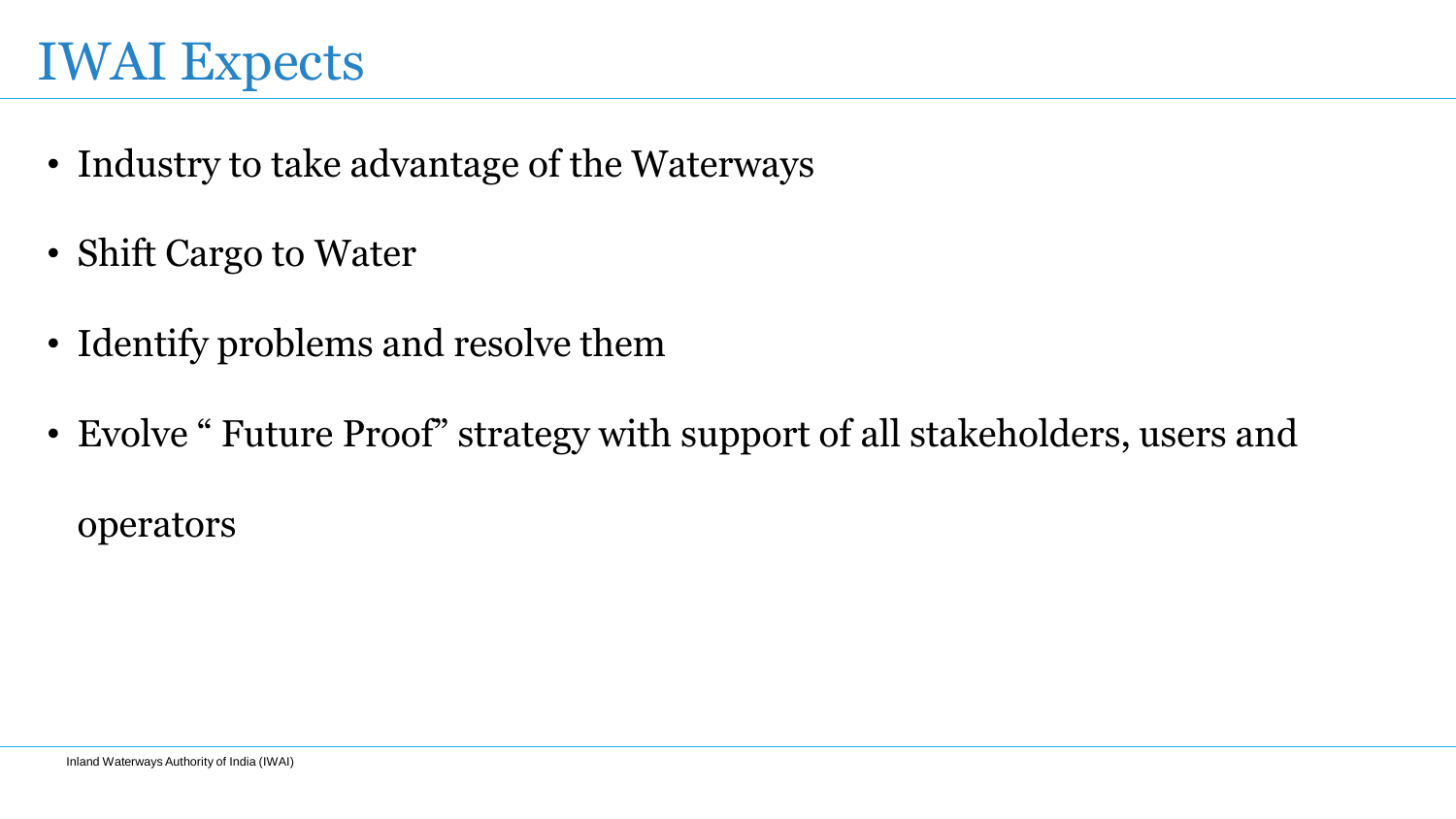# IWAI Expects

- Industry to take advantage of the Waterways
- Shift Cargo to Water
- Identify problems and resolve them
- Evolve " Future Proof" strategy with support of all stakeholders, users and

operators